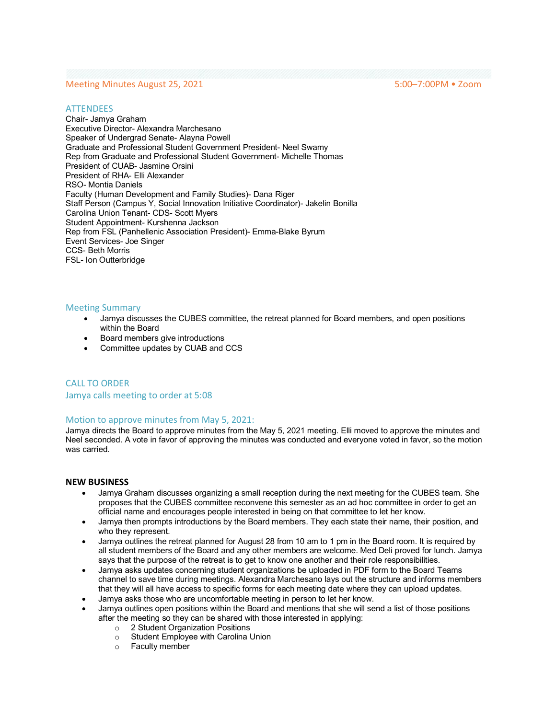# Meeting Minutes August 25, 2021 **5:00–7:00PM • Zoom**

#### **ATTENDEES**

Chair- Jamya Graham Executive Director- Alexandra Marchesano Speaker of Undergrad Senate- Alayna Powell Graduate and Professional Student Government President- Neel Swamy Rep from Graduate and Professional Student Government- Michelle Thomas President of CUAB- Jasmine Orsini President of RHA- Elli Alexander RSO- Montia Daniels Faculty (Human Development and Family Studies)- Dana Riger Staff Person (Campus Y, Social Innovation Initiative Coordinator)- Jakelin Bonilla Carolina Union Tenant- CDS- Scott Myers Student Appointment- Kurshenna Jackson Rep from FSL (Panhellenic Association President)- Emma-Blake Byrum Event Services- Joe Singer CCS- Beth Morris FSL- Ion Outterbridge

#### Meeting Summary

- Jamya discusses the CUBES committee, the retreat planned for Board members, and open positions within the Board
- Board members give introductions
- Committee updates by CUAB and CCS

CALL TO ORDER Jamya calls meeting to order at 5:08

### Motion to approve minutes from May 5, 2021:

Jamya directs the Board to approve minutes from the May 5, 2021 meeting. Elli moved to approve the minutes and Neel seconded. A vote in favor of approving the minutes was conducted and everyone voted in favor, so the motion was carried.

### **NEW BUSINESS**

- Jamya Graham discusses organizing a small reception during the next meeting for the CUBES team. She proposes that the CUBES committee reconvene this semester as an ad hoc committee in order to get an official name and encourages people interested in being on that committee to let her know.
- Jamya then prompts introductions by the Board members. They each state their name, their position, and who they represent.
- Jamya outlines the retreat planned for August 28 from 10 am to 1 pm in the Board room. It is required by all student members of the Board and any other members are welcome. Med Deli proved for lunch. Jamya says that the purpose of the retreat is to get to know one another and their role responsibilities.
- Jamya asks updates concerning student organizations be uploaded in PDF form to the Board Teams channel to save time during meetings. Alexandra Marchesano lays out the structure and informs members that they will all have access to specific forms for each meeting date where they can upload updates.
- Jamya asks those who are uncomfortable meeting in person to let her know.
- Jamya outlines open positions within the Board and mentions that she will send a list of those positions after the meeting so they can be shared with those interested in applying:
	- o 2 Student Organization Positions
	- Student Employee with Carolina Union<br>○ Faculty member
	- Faculty member